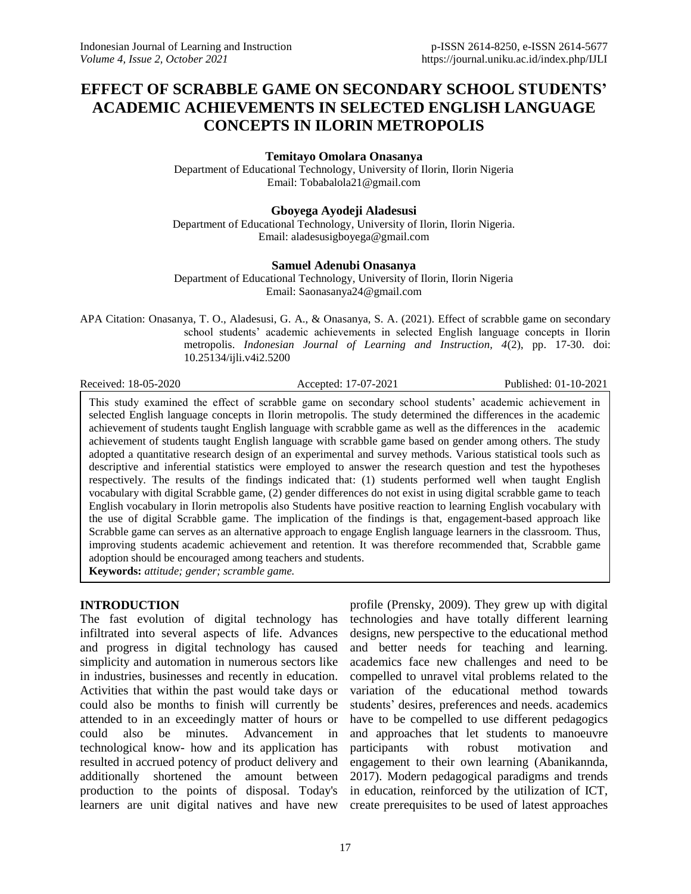# **EFFECT OF SCRABBLE GAME ON SECONDARY SCHOOL STUDENTS' ACADEMIC ACHIEVEMENTS IN SELECTED ENGLISH LANGUAGE CONCEPTS IN ILORIN METROPOLIS**

**Temitayo Omolara Onasanya**

Department of Educational Technology, University of Ilorin, Ilorin Nigeria Email: [Tobabalola21@gmail.com](mailto:Tobabalola21@gmail.com)

**Gboyega Ayodeji Aladesusi** Department of Educational Technology, University of Ilorin, Ilorin Nigeria. Email: [aladesusigboyega@gmail.com](mailto:aladesusigboyega@gmail.com)

### **Samuel Adenubi Onasanya**

Department of Educational Technology, University of Ilorin, Ilorin Nigeria Email: [Saonasanya24@gmail.com](mailto:Saonasanya24@gmail.com)

APA Citation: Onasanya, T. O., Aladesusi, G. A., & Onasanya, S. A. (2021). Effect of scrabble game on secondary school students' academic achievements in selected English language concepts in Ilorin metropolis. *Indonesian Journal of Learning and Instruction, 4*(2), pp. 17-30. doi: 10.25134/ijli.v4i2.5200

Received: 18-05-2020 Accepted: 17-07-2021 Published: 01-10-2021

This study examined the effect of scrabble game on secondary school students' academic achievement in selected English language concepts in Ilorin metropolis. The study determined the differences in the academic achievement of students taught English language with scrabble game as well as the differences in the academic achievement of students taught English language with scrabble game based on gender among others. The study adopted a quantitative research design of an experimental and survey methods. Various statistical tools such as descriptive and inferential statistics were employed to answer the research question and test the hypotheses respectively. The results of the findings indicated that: (1) students performed well when taught English vocabulary with digital Scrabble game, (2) gender differences do not exist in using digital scrabble game to teach English vocabulary in Ilorin metropolis also Students have positive reaction to learning English vocabulary with the use of digital Scrabble game. The implication of the findings is that, engagement-based approach like Scrabble game can serves as an alternative approach to engage English language learners in the classroom. Thus, improving students academic achievement and retention. It was therefore recommended that, Scrabble game adoption should be encouraged among teachers and students. **Keywords:** *attitude; gender; scramble game.*

# **INTRODUCTION**

The fast evolution of digital technology has infiltrated into several aspects of life. Advances and progress in digital technology has caused simplicity and automation in numerous sectors like in industries, businesses and recently in education. Activities that within the past would take days or could also be months to finish will currently be attended to in an exceedingly matter of hours or could also be minutes. Advancement in technological know- how and its application has resulted in accrued potency of product delivery and additionally shortened the amount between production to the points of disposal. Today's learners are unit digital natives and have new

profile (Prensky, 2009). They grew up with digital technologies and have totally different learning designs, new perspective to the educational method and better needs for teaching and learning. academics face new challenges and need to be compelled to unravel vital problems related to the variation of the educational method towards students' desires, preferences and needs. academics have to be compelled to use different pedagogics and approaches that let students to manoeuvre participants with robust motivation and engagement to their own learning (Abanikannda, 2017). Modern pedagogical paradigms and trends in education, reinforced by the utilization of ICT, create prerequisites to be used of latest approaches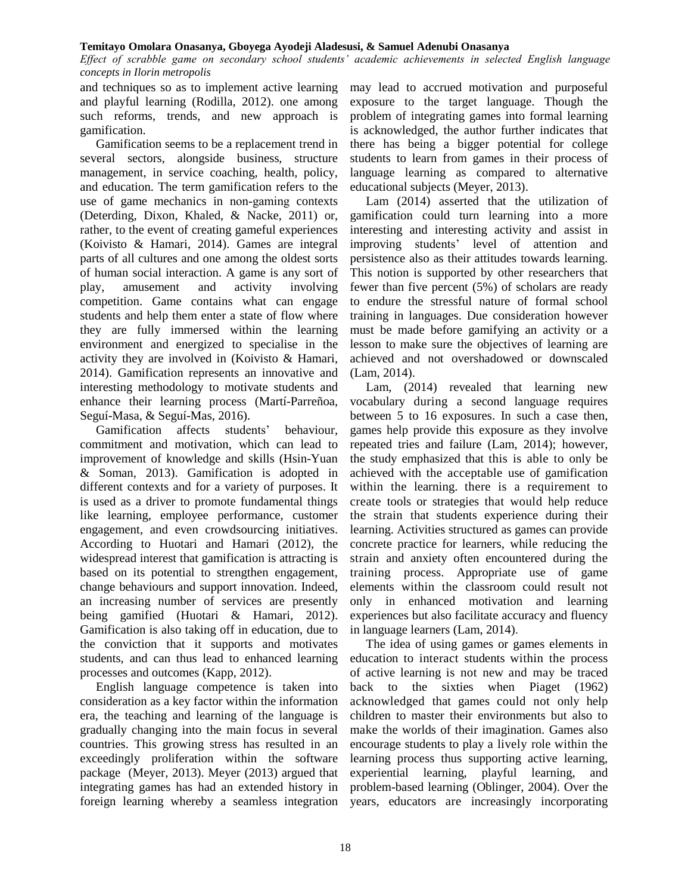*Effect of scrabble game on secondary school students' academic achievements in selected English language concepts in Ilorin metropolis*

and techniques so as to implement active learning and playful learning (Rodilla, 2012). one among such reforms, trends, and new approach is gamification.

Gamification seems to be a replacement trend in several sectors, alongside business, structure management, in service coaching, health, policy, and education. The term gamification refers to the use of game mechanics in non‐gaming contexts (Deterding, Dixon, Khaled, & Nacke, 2011) or, rather, to the event of creating gameful experiences (Koivisto & Hamari, 2014). Games are integral parts of all cultures and one among the oldest sorts of human social interaction. A game is any sort of play, amusement and activity involving competition. Game contains what can engage students and help them enter a state of flow where they are fully immersed within the learning environment and energized to specialise in the activity they are involved in (Koivisto & Hamari, 2014). Gamification represents an innovative and interesting methodology to motivate students and enhance their learning process (Martí-Parreñoa, Seguí-Masa, & Seguí-Mas, 2016).

Gamification affects students' behaviour, commitment and motivation, which can lead to improvement of knowledge and skills (Hsin-Yuan & Soman, 2013). Gamification is adopted in different contexts and for a variety of purposes. It is used as a driver to promote fundamental things like learning, employee performance, customer engagement, and even crowdsourcing initiatives. According to Huotari and Hamari (2012), the widespread interest that gamification is attracting is based on its potential to strengthen engagement, change behaviours and support innovation. Indeed, an increasing number of services are presently being gamified (Huotari & Hamari, 2012). Gamification is also taking off in education, due to the conviction that it supports and motivates students, and can thus lead to enhanced learning processes and outcomes (Kapp, 2012).

English language competence is taken into consideration as a key factor within the information era, the teaching and learning of the language is gradually changing into the main focus in several countries. This growing stress has resulted in an exceedingly proliferation within the software package (Meyer, 2013). Meyer (2013) argued that integrating games has had an extended history in foreign learning whereby a seamless integration

may lead to accrued motivation and purposeful exposure to the target language. Though the problem of integrating games into formal learning is acknowledged, the author further indicates that there has being a bigger potential for college students to learn from games in their process of language learning as compared to alternative educational subjects (Meyer, 2013).

Lam (2014) asserted that the utilization of gamification could turn learning into a more interesting and interesting activity and assist in improving students' level of attention and persistence also as their attitudes towards learning. This notion is supported by other researchers that fewer than five percent (5%) of scholars are ready to endure the stressful nature of formal school training in languages. Due consideration however must be made before gamifying an activity or a lesson to make sure the objectives of learning are achieved and not overshadowed or downscaled (Lam, 2014).

Lam, (2014) revealed that learning new vocabulary during a second language requires between 5 to 16 exposures. In such a case then, games help provide this exposure as they involve repeated tries and failure (Lam, 2014); however, the study emphasized that this is able to only be achieved with the acceptable use of gamification within the learning. there is a requirement to create tools or strategies that would help reduce the strain that students experience during their learning. Activities structured as games can provide concrete practice for learners, while reducing the strain and anxiety often encountered during the training process. Appropriate use of game elements within the classroom could result not only in enhanced motivation and learning experiences but also facilitate accuracy and fluency in language learners (Lam, 2014).

The idea of using games or games elements in education to interact students within the process of active learning is not new and may be traced back to the sixties when Piaget (1962) acknowledged that games could not only help children to master their environments but also to make the worlds of their imagination. Games also encourage students to play a lively role within the learning process thus supporting active learning, experiential learning, playful learning, and problem-based learning (Oblinger, 2004). Over the years, educators are increasingly incorporating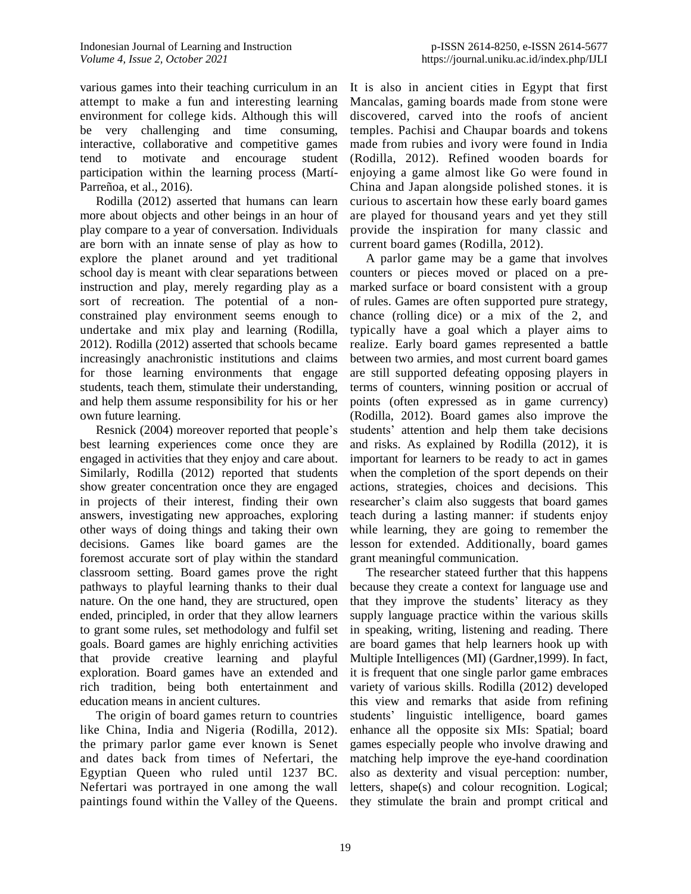various games into their teaching curriculum in an attempt to make a fun and interesting learning environment for college kids. Although this will be very challenging and time consuming, interactive, collaborative and competitive games tend to motivate and encourage student participation within the learning process (Martí-Parreñoa, et al., 2016).

Rodilla (2012) asserted that humans can learn more about objects and other beings in an hour of play compare to a year of conversation. Individuals are born with an innate sense of play as how to explore the planet around and yet traditional school day is meant with clear separations between instruction and play, merely regarding play as a sort of recreation. The potential of a nonconstrained play environment seems enough to undertake and mix play and learning (Rodilla, 2012). Rodilla (2012) asserted that schools became increasingly anachronistic institutions and claims for those learning environments that engage students, teach them, stimulate their understanding, and help them assume responsibility for his or her own future learning.

Resnick (2004) moreover reported that people's best learning experiences come once they are engaged in activities that they enjoy and care about. Similarly, Rodilla (2012) reported that students show greater concentration once they are engaged in projects of their interest, finding their own answers, investigating new approaches, exploring other ways of doing things and taking their own decisions. Games like board games are the foremost accurate sort of play within the standard classroom setting. Board games prove the right pathways to playful learning thanks to their dual nature. On the one hand, they are structured, open ended, principled, in order that they allow learners to grant some rules, set methodology and fulfil set goals. Board games are highly enriching activities that provide creative learning and playful exploration. Board games have an extended and rich tradition, being both entertainment and education means in ancient cultures.

The origin of board games return to countries like China, India and Nigeria (Rodilla, 2012). the primary parlor game ever known is Senet and dates back from times of Nefertari, the Egyptian Queen who ruled until 1237 BC. Nefertari was portrayed in one among the wall paintings found within the Valley of the Queens.

It is also in ancient cities in Egypt that first Mancalas, gaming boards made from stone were discovered, carved into the roofs of ancient temples. Pachisi and Chaupar boards and tokens made from rubies and ivory were found in India (Rodilla, 2012). Refined wooden boards for enjoying a game almost like Go were found in China and Japan alongside polished stones. it is curious to ascertain how these early board games are played for thousand years and yet they still provide the inspiration for many classic and current board games (Rodilla, 2012).

A parlor game may be a game that involves counters or pieces moved or placed on a premarked surface or board consistent with a group of rules. Games are often supported pure strategy, chance (rolling dice) or a mix of the 2, and typically have a goal which a player aims to realize. Early board games represented a battle between two armies, and most current board games are still supported defeating opposing players in terms of counters, winning position or accrual of points (often expressed as in game currency) (Rodilla, 2012). Board games also improve the students' attention and help them take decisions and risks. As explained by Rodilla (2012), it is important for learners to be ready to act in games when the completion of the sport depends on their actions, strategies, choices and decisions. This researcher's claim also suggests that board games teach during a lasting manner: if students enjoy while learning, they are going to remember the lesson for extended. Additionally, board games grant meaningful communication.

The researcher stateed further that this happens because they create a context for language use and that they improve the students' literacy as they supply language practice within the various skills in speaking, writing, listening and reading. There are board games that help learners hook up with Multiple Intelligences (MI) (Gardner,1999). In fact, it is frequent that one single parlor game embraces variety of various skills. Rodilla (2012) developed this view and remarks that aside from refining students' linguistic intelligence, board games enhance all the opposite six MIs: Spatial; board games especially people who involve drawing and matching help improve the eye-hand coordination also as dexterity and visual perception: number, letters, shape(s) and colour recognition. Logical; they stimulate the brain and prompt critical and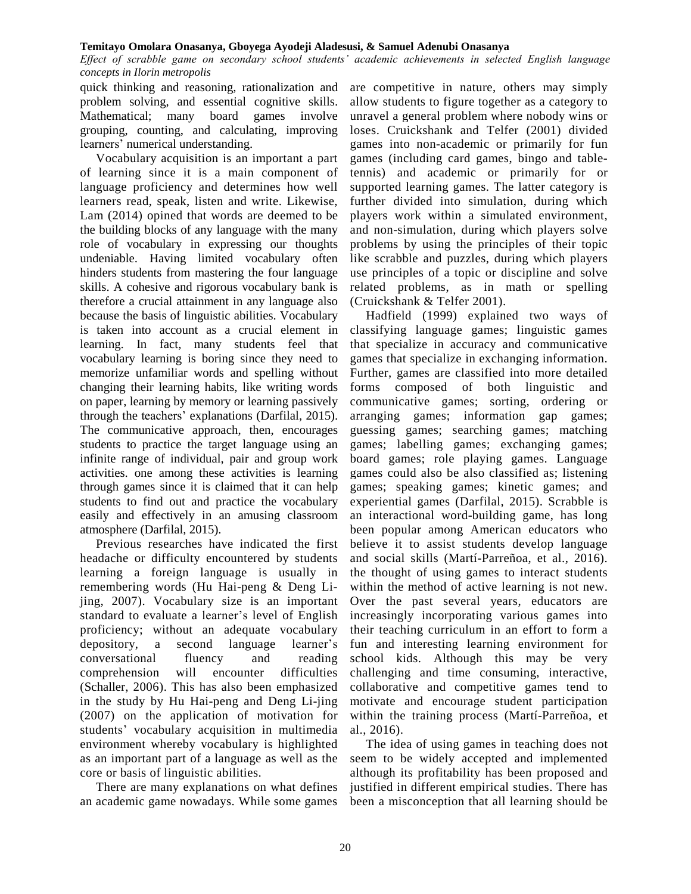*Effect of scrabble game on secondary school students' academic achievements in selected English language concepts in Ilorin metropolis*

quick thinking and reasoning, rationalization and problem solving, and essential cognitive skills. Mathematical; many board games involve grouping, counting, and calculating, improving learners' numerical understanding.

Vocabulary acquisition is an important a part of learning since it is a main component of language proficiency and determines how well learners read, speak, listen and write. Likewise, Lam (2014) opined that words are deemed to be the building blocks of any language with the many role of vocabulary in expressing our thoughts undeniable. Having limited vocabulary often hinders students from mastering the four language skills. A cohesive and rigorous vocabulary bank is therefore a crucial attainment in any language also because the basis of linguistic abilities. Vocabulary is taken into account as a crucial element in learning. In fact, many students feel that vocabulary learning is boring since they need to memorize unfamiliar words and spelling without changing their learning habits, like writing words on paper, learning by memory or learning passively through the teachers' explanations (Darfilal, 2015). The communicative approach, then, encourages students to practice the target language using an infinite range of individual, pair and group work activities. one among these activities is learning through games since it is claimed that it can help students to find out and practice the vocabulary easily and effectively in an amusing classroom atmosphere (Darfilal, 2015).

Previous researches have indicated the first headache or difficulty encountered by students learning a foreign language is usually in remembering words (Hu Hai-peng & Deng Lijing, 2007). Vocabulary size is an important standard to evaluate a learner's level of English proficiency; without an adequate vocabulary depository, a second language learner's conversational fluency and reading comprehension will encounter difficulties (Schaller, 2006). This has also been emphasized in the study by Hu Hai-peng and Deng Li-jing (2007) on the application of motivation for students' vocabulary acquisition in multimedia environment whereby vocabulary is highlighted as an important part of a language as well as the core or basis of linguistic abilities.

There are many explanations on what defines an academic game nowadays. While some games

are competitive in nature, others may simply allow students to figure together as a category to unravel a general problem where nobody wins or loses. Cruickshank and Telfer (2001) divided games into non-academic or primarily for fun games (including card games, bingo and tabletennis) and academic or primarily for or supported learning games. The latter category is further divided into simulation, during which players work within a simulated environment, and non-simulation, during which players solve problems by using the principles of their topic like scrabble and puzzles, during which players use principles of a topic or discipline and solve related problems, as in math or spelling (Cruickshank & Telfer 2001).

Hadfield (1999) explained two ways of classifying language games; linguistic games that specialize in accuracy and communicative games that specialize in exchanging information. Further, games are classified into more detailed forms composed of both linguistic and communicative games; sorting, ordering or arranging games; information gap games; guessing games; searching games; matching games; labelling games; exchanging games; board games; role playing games. Language games could also be also classified as; listening games; speaking games; kinetic games; and experiential games (Darfilal, 2015). Scrabble is an interactional word-building game, has long been popular among American educators who believe it to assist students develop language and social skills (Martí-Parreñoa, et al., 2016). the thought of using games to interact students within the method of active learning is not new. Over the past several years, educators are increasingly incorporating various games into their teaching curriculum in an effort to form a fun and interesting learning environment for school kids. Although this may be very challenging and time consuming, interactive, collaborative and competitive games tend to motivate and encourage student participation within the training process (Martí-Parreñoa, et al., 2016).

The idea of using games in teaching does not seem to be widely accepted and implemented although its profitability has been proposed and justified in different empirical studies. There has been a misconception that all learning should be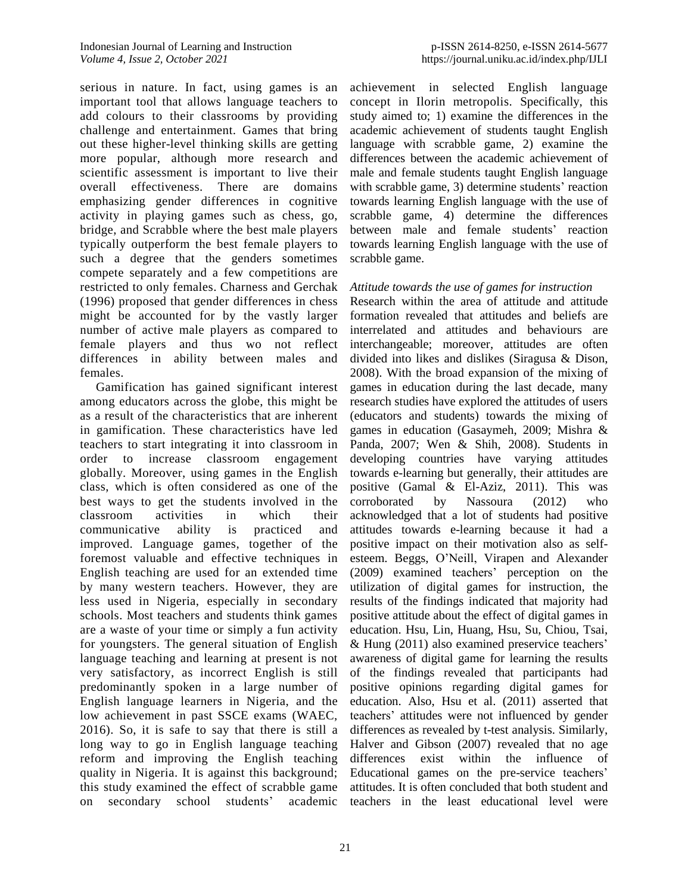serious in nature. In fact, using games is an important tool that allows language teachers to add colours to their classrooms by providing challenge and entertainment. Games that bring out these higher-level thinking skills are getting more popular, although more research and scientific assessment is important to live their overall effectiveness. There are domains emphasizing gender differences in cognitive activity in playing games such as chess, go, bridge, and Scrabble where the best male players typically outperform the best female players to such a degree that the genders sometimes compete separately and a few competitions are restricted to only females. Charness and Gerchak (1996) proposed that gender differences in chess might be accounted for by the vastly larger number of active male players as compared to female players and thus wo not reflect differences in ability between males and females.

Gamification has gained significant interest among educators across the globe, this might be as a result of the characteristics that are inherent in gamification. These characteristics have led teachers to start integrating it into classroom in order to increase classroom engagement globally. Moreover, using games in the English class, which is often considered as one of the best ways to get the students involved in the classroom activities in which their communicative ability is practiced and improved. Language games, together of the foremost valuable and effective techniques in English teaching are used for an extended time by many western teachers. However, they are less used in Nigeria, especially in secondary schools. Most teachers and students think games are a waste of your time or simply a fun activity for youngsters. The general situation of English language teaching and learning at present is not very satisfactory, as incorrect English is still predominantly spoken in a large number of English language learners in Nigeria, and the low achievement in past SSCE exams (WAEC, 2016). So, it is safe to say that there is still a long way to go in English language teaching reform and improving the English teaching quality in Nigeria. It is against this background; this study examined the effect of scrabble game on secondary school students' academic

achievement in selected English language concept in Ilorin metropolis. Specifically, this study aimed to; 1) examine the differences in the academic achievement of students taught English language with scrabble game, 2) examine the differences between the academic achievement of male and female students taught English language with scrabble game, 3) determine students' reaction towards learning English language with the use of scrabble game, 4) determine the differences between male and female students' reaction towards learning English language with the use of scrabble game.

# *Attitude towards the use of games for instruction*

Research within the area of attitude and attitude formation revealed that attitudes and beliefs are interrelated and attitudes and behaviours are interchangeable; moreover, attitudes are often divided into likes and dislikes (Siragusa & Dison, 2008). With the broad expansion of the mixing of games in education during the last decade, many research studies have explored the attitudes of users (educators and students) towards the mixing of games in education (Gasaymeh, 2009; Mishra & Panda, 2007; Wen & Shih, 2008). Students in developing countries have varying attitudes towards e-learning but generally, their attitudes are positive (Gamal & El-Aziz, 2011). This was corroborated by Nassoura (2012) who acknowledged that a lot of students had positive attitudes towards e-learning because it had a positive impact on their motivation also as selfesteem. Beggs, O'Neill, Virapen and Alexander (2009) examined teachers' perception on the utilization of digital games for instruction, the results of the findings indicated that majority had positive attitude about the effect of digital games in education. Hsu, Lin, Huang, Hsu, Su, Chiou, Tsai, & Hung (2011) also examined preservice teachers' awareness of digital game for learning the results of the findings revealed that participants had positive opinions regarding digital games for education. Also, Hsu et al. (2011) asserted that teachers' attitudes were not influenced by gender differences as revealed by t-test analysis. Similarly, Halver and Gibson (2007) revealed that no age differences exist within the influence of Educational games on the pre-service teachers' attitudes. It is often concluded that both student and teachers in the least educational level were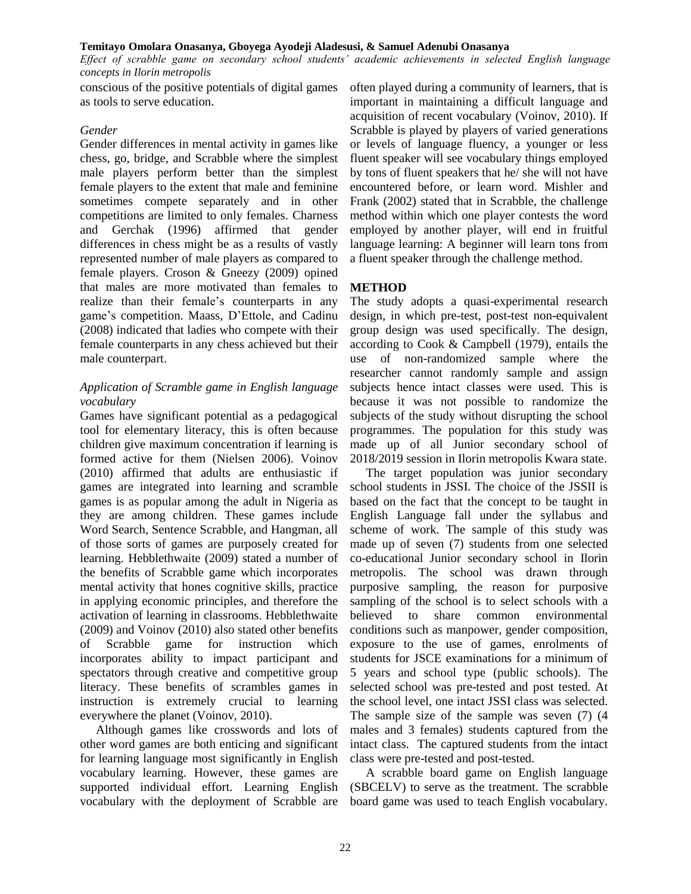*Effect of scrabble game on secondary school students' academic achievements in selected English language concepts in Ilorin metropolis*

conscious of the positive potentials of digital games as tools to serve education.

# *Gender*

Gender differences in mental activity in games like chess, go, bridge, and Scrabble where the simplest male players perform better than the simplest female players to the extent that male and feminine sometimes compete separately and in other competitions are limited to only females. Charness and Gerchak (1996) affirmed that gender differences in chess might be as a results of vastly represented number of male players as compared to female players. Croson & Gneezy (2009) opined that males are more motivated than females to realize than their female's counterparts in any game's competition. Maass, D'Ettole, and Cadinu (2008) indicated that ladies who compete with their female counterparts in any chess achieved but their male counterpart.

# *Application of Scramble game in English language vocabulary*

Games have significant potential as a pedagogical tool for elementary literacy, this is often because children give maximum concentration if learning is formed active for them (Nielsen 2006). Voinov (2010) affirmed that adults are enthusiastic if games are integrated into learning and scramble games is as popular among the adult in Nigeria as they are among children. These games include Word Search, Sentence Scrabble, and Hangman, all of those sorts of games are purposely created for learning. Hebblethwaite (2009) stated a number of the benefits of Scrabble game which incorporates mental activity that hones cognitive skills, practice in applying economic principles, and therefore the activation of learning in classrooms. Hebblethwaite (2009) and Voinov (2010) also stated other benefits of Scrabble game for instruction which incorporates ability to impact participant and spectators through creative and competitive group literacy. These benefits of scrambles games in instruction is extremely crucial to learning everywhere the planet (Voinov, 2010).

Although games like crosswords and lots of other word games are both enticing and significant for learning language most significantly in English vocabulary learning. However, these games are supported individual effort. Learning English vocabulary with the deployment of Scrabble are

often played during a community of learners, that is important in maintaining a difficult language and acquisition of recent vocabulary (Voinov, 2010). If Scrabble is played by players of varied generations or levels of language fluency, a younger or less fluent speaker will see vocabulary things employed by tons of fluent speakers that he/ she will not have encountered before, or learn word. Mishler and Frank (2002) stated that in Scrabble, the challenge method within which one player contests the word employed by another player, will end in fruitful language learning: A beginner will learn tons from a fluent speaker through the challenge method.

# **METHOD**

The study adopts a quasi-experimental research design, in which pre-test, post-test non-equivalent group design was used specifically. The design, according to Cook & Campbell (1979), entails the use of non-randomized sample where the researcher cannot randomly sample and assign subjects hence intact classes were used. This is because it was not possible to randomize the subjects of the study without disrupting the school programmes. The population for this study was made up of all Junior secondary school of 2018/2019 session in Ilorin metropolis Kwara state.

The target population was junior secondary school students in JSSI. The choice of the JSSII is based on the fact that the concept to be taught in English Language fall under the syllabus and scheme of work. The sample of this study was made up of seven (7) students from one selected co-educational Junior secondary school in Ilorin metropolis. The school was drawn through purposive sampling, the reason for purposive sampling of the school is to select schools with a believed to share common environmental conditions such as manpower, gender composition, exposure to the use of games, enrolments of students for JSCE examinations for a minimum of 5 years and school type (public schools). The selected school was pre-tested and post tested. At the school level, one intact JSSI class was selected. The sample size of the sample was seven (7) (4 males and 3 females) students captured from the intact class. The captured students from the intact class were pre-tested and post-tested.

A scrabble board game on English language (SBCELV) to serve as the treatment. The scrabble board game was used to teach English vocabulary.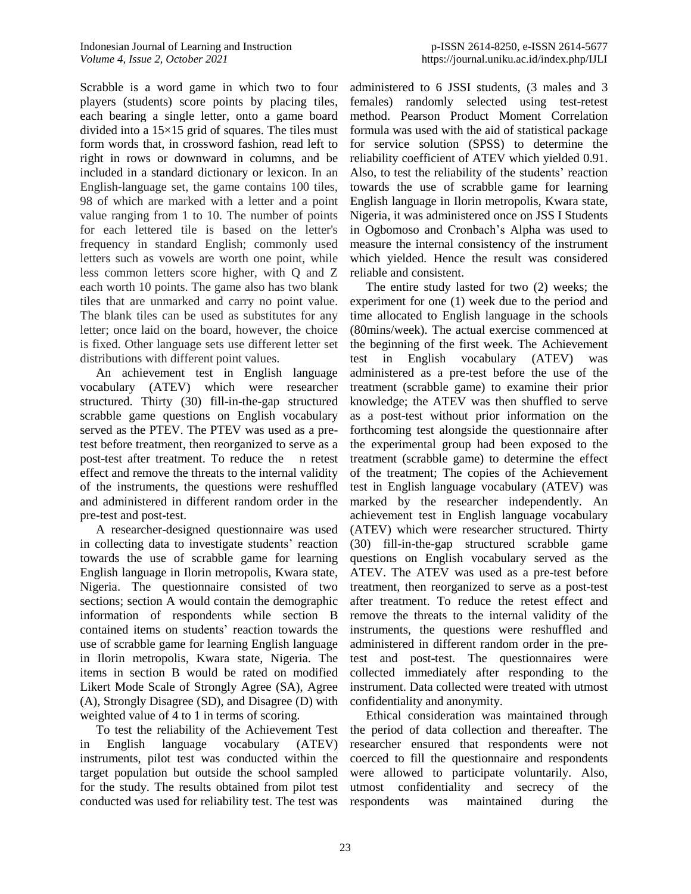Scrabble is a word [game](https://en.wikipedia.org/wiki/Word_game) in which two to four players (students) score points by placing tiles, each bearing a single letter, onto a game [board](https://en.wikipedia.org/wiki/Board_game) divided into a  $15\times15$  grid of squares. The tiles must form words that, in [crossword](https://en.wikipedia.org/wiki/Crossword) fashion, read left to right in rows or downward in columns, and be included in a standard [dictionary](https://en.wikipedia.org/wiki/Dictionary) or [lexicon.](https://en.wikipedia.org/wiki/Lexicon) In an English-language set, the game contains 100 tiles, 98 of which are marked with a letter and a point value ranging from 1 to 10. The number of points for each lettered tile is based on the letter's frequency in standard English; commonly used letters such as vowels are worth one point, while less common letters score higher, with Q and Z each worth 10 points. The game also has two blank tiles that are unmarked and carry no point value. The blank tiles can be used as substitutes for any letter; once laid on the board, however, the choice is fixed. Other language sets use different letter set distributions with different point values.

An achievement test in English language vocabulary (ATEV) which were researcher structured. Thirty (30) fill-in-the-gap structured scrabble game questions on English vocabulary served as the PTEV. The PTEV was used as a pretest before treatment, then reorganized to serve as a post-test after treatment. To reduce the n retest effect and remove the threats to the internal validity of the instruments, the questions were reshuffled and administered in different random order in the pre-test and post-test.

A researcher-designed questionnaire was used in collecting data to investigate students' reaction towards the use of scrabble game for learning English language in Ilorin metropolis, Kwara state, Nigeria. The questionnaire consisted of two sections; section A would contain the demographic information of respondents while section B contained items on students' reaction towards the use of scrabble game for learning English language in Ilorin metropolis, Kwara state, Nigeria. The items in section B would be rated on modified Likert Mode Scale of Strongly Agree (SA), Agree (A), Strongly Disagree (SD), and Disagree (D) with weighted value of 4 to 1 in terms of scoring.

To test the reliability of the Achievement Test in English language vocabulary (ATEV) instruments, pilot test was conducted within the target population but outside the school sampled for the study. The results obtained from pilot test conducted was used for reliability test. The test was

administered to 6 JSSI students, (3 males and 3 females) randomly selected using test-retest method. Pearson Product Moment Correlation formula was used with the aid of statistical package for service solution (SPSS) to determine the reliability coefficient of ATEV which yielded 0.91. Also, to test the reliability of the students' reaction towards the use of scrabble game for learning English language in Ilorin metropolis, Kwara state, Nigeria, it was administered once on JSS I Students in Ogbomoso and Cronbach's Alpha was used to measure the internal consistency of the instrument which yielded. Hence the result was considered reliable and consistent.

The entire study lasted for two (2) weeks; the experiment for one (1) week due to the period and time allocated to English language in the schools (80mins/week). The actual exercise commenced at the beginning of the first week. The Achievement test in English vocabulary (ATEV) was administered as a pre-test before the use of the treatment (scrabble game) to examine their prior knowledge; the ATEV was then shuffled to serve as a post-test without prior information on the forthcoming test alongside the questionnaire after the experimental group had been exposed to the treatment (scrabble game) to determine the effect of the treatment; The copies of the Achievement test in English language vocabulary (ATEV) was marked by the researcher independently. An achievement test in English language vocabulary (ATEV) which were researcher structured. Thirty (30) fill-in-the-gap structured scrabble game questions on English vocabulary served as the ATEV. The ATEV was used as a pre-test before treatment, then reorganized to serve as a post-test after treatment. To reduce the retest effect and remove the threats to the internal validity of the instruments, the questions were reshuffled and administered in different random order in the pretest and post-test. The questionnaires were collected immediately after responding to the instrument. Data collected were treated with utmost confidentiality and anonymity.

Ethical consideration was maintained through the period of data collection and thereafter. The researcher ensured that respondents were not coerced to fill the questionnaire and respondents were allowed to participate voluntarily. Also, utmost confidentiality and secrecy of the respondents was maintained during the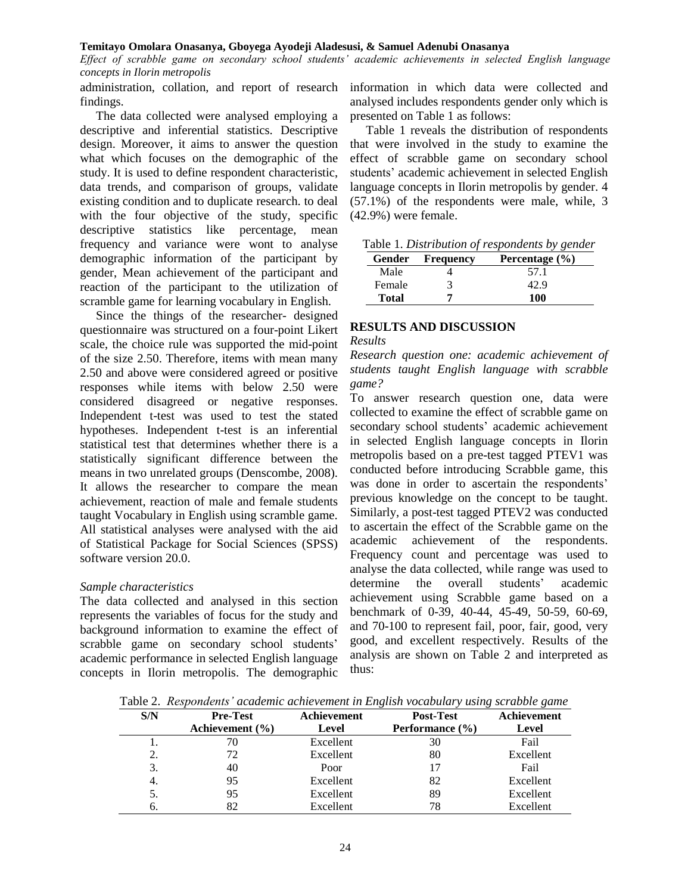*Effect of scrabble game on secondary school students' academic achievements in selected English language concepts in Ilorin metropolis*

findings.

The data collected were analysed employing a descriptive and inferential statistics. Descriptive design. Moreover, it aims to answer the question what which focuses on the demographic of the study. It is used to define respondent characteristic, data trends, and comparison of groups, validate existing condition and to duplicate research. to deal with the four objective of the study, specific descriptive statistics like percentage, mean frequency and variance were wont to analyse demographic information of the participant by gender, Mean achievement of the participant and reaction of the participant to the utilization of scramble game for learning vocabulary in English.

Since the things of the researcher- designed questionnaire was structured on a four-point Likert scale, the choice rule was supported the mid-point of the size 2.50. Therefore, items with mean many 2.50 and above were considered agreed or positive responses while items with below 2.50 were considered disagreed or negative responses. Independent t-test was used to test the stated hypotheses. Independent t-test is an inferential statistical test that determines whether there is a statistically significant difference between the means in two unrelated groups (Denscombe, 2008). It allows the researcher to compare the mean achievement, reaction of male and female students taught Vocabulary in English using scramble game. All statistical analyses were analysed with the aid of Statistical Package for Social Sciences (SPSS) software version 20.0.

### *Sample characteristics*

The data collected and analysed in this section represents the variables of focus for the study and background information to examine the effect of scrabble game on secondary school students' academic performance in selected English language concepts in Ilorin metropolis. The demographic

administration, collation, and report of research information in which data were collected and analysed includes respondents gender only which is presented on Table 1 as follows:

> Table 1 reveals the distribution of respondents that were involved in the study to examine the effect of scrabble game on secondary school students' academic achievement in selected English language concepts in Ilorin metropolis by gender. 4 (57.1%) of the respondents were male, while, 3 (42.9%) were female.

|  |  | Table 1. Distribution of respondents by gender |  |  |  |
|--|--|------------------------------------------------|--|--|--|
|--|--|------------------------------------------------|--|--|--|

| Gender | <b>Frequency</b> | Percentage $(\% )$ |
|--------|------------------|--------------------|
| Male   |                  | 57.1               |
| Female |                  | 42.9               |
| Total  |                  | 100                |

### **RESULTS AND DISCUSSION**

#### *Results*

*Research question one: academic achievement of students taught English language with scrabble game?*

To answer research question one, data were collected to examine the effect of scrabble game on secondary school students' academic achievement in selected English language concepts in Ilorin metropolis based on a pre-test tagged PTEV1 was conducted before introducing Scrabble game, this was done in order to ascertain the respondents' previous knowledge on the concept to be taught. Similarly, a post-test tagged PTEV2 was conducted to ascertain the effect of the Scrabble game on the academic achievement of the respondents. Frequency count and percentage was used to analyse the data collected, while range was used to determine the overall students' academic achievement using Scrabble game based on a benchmark of 0-39, 40-44, 45-49, 50-59, 60-69, and 70-100 to represent fail, poor, fair, good, very good, and excellent respectively. Results of the analysis are shown on Table 2 and interpreted as thus:

Table 2. *Respondents' academic achievement in English vocabulary using scrabble game*

| S/N | <b>Pre-Test</b>     | Achievement | <b>Post-Test</b> | Achievement |
|-----|---------------------|-------------|------------------|-------------|
|     | Achievement $(\% )$ | Level       | Performance (%)  | Level       |
|     | 70                  | Excellent   | 30               | Fail        |
| 2.  | 72                  | Excellent   | 80               | Excellent   |
| 3.  | 40                  | Poor        | 17               | Fail        |
| 4.  | 95                  | Excellent   | 82               | Excellent   |
| 5.  | 95                  | Excellent   | 89               | Excellent   |
|     | 82                  | Excellent   | 78               | Excellent   |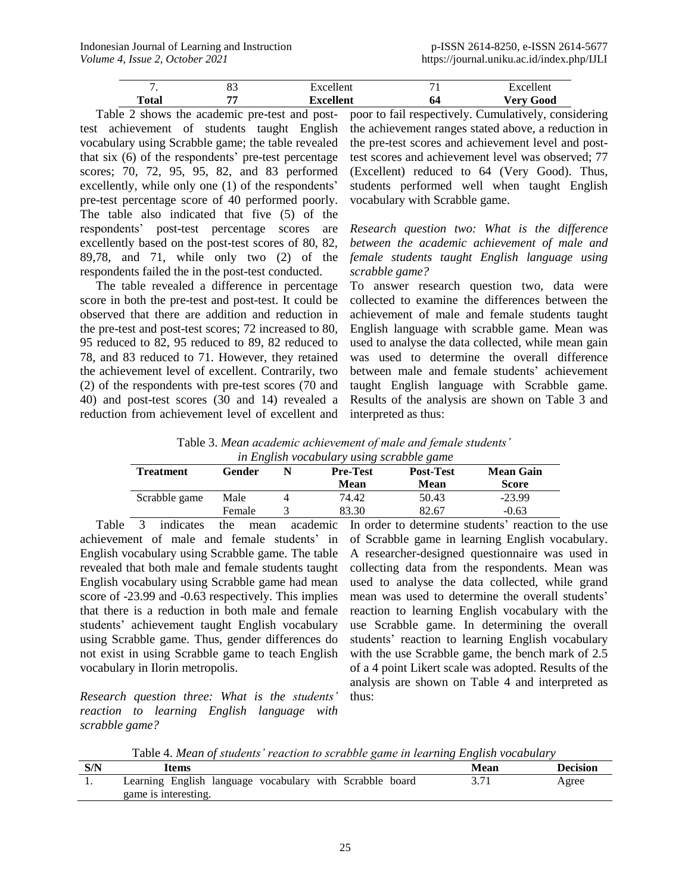|       | o-<br>ບປ | Excellent         |                      | $\mathbf{r}$ xcellent |
|-------|----------|-------------------|----------------------|-----------------------|
| Total | FF.      | $\nabla$ xcellent | . н.<br>$\mathbf{v}$ | <b>Very Good</b>      |

Table 2 shows the academic pre-test and posttest achievement of students taught English vocabulary using Scrabble game; the table revealed that six (6) of the respondents' pre-test percentage scores; 70, 72, 95, 95, 82, and 83 performed excellently, while only one (1) of the respondents' pre-test percentage score of 40 performed poorly. The table also indicated that five (5) of the respondents' post-test percentage scores are excellently based on the post-test scores of 80, 82, 89,78, and 71, while only two (2) of the respondents failed the in the post-test conducted.

The table revealed a difference in percentage score in both the pre-test and post-test. It could be observed that there are addition and reduction in the pre-test and post-test scores; 72 increased to 80, 95 reduced to 82, 95 reduced to 89, 82 reduced to 78, and 83 reduced to 71. However, they retained the achievement level of excellent. Contrarily, two (2) of the respondents with pre-test scores (70 and 40) and post-test scores (30 and 14) revealed a reduction from achievement level of excellent and

poor to fail respectively. Cumulatively, considering the achievement ranges stated above, a reduction in the pre-test scores and achievement level and posttest scores and achievement level was observed; 77 (Excellent) reduced to 64 (Very Good). Thus, students performed well when taught English vocabulary with Scrabble game.

*Research question two: What is the difference between the academic achievement of male and female students taught English language using scrabble game?*

To answer research question two, data were collected to examine the differences between the achievement of male and female students taught English language with scrabble game. Mean was used to analyse the data collected, while mean gain was used to determine the overall difference between male and female students' achievement taught English language with Scrabble game. Results of the analysis are shown on Table 3 and interpreted as thus:

|  | Table 3. Mean academic achievement of male and female students' |  |  |  |
|--|-----------------------------------------------------------------|--|--|--|
|  | in English vocabulary using scrabble game                       |  |  |  |

| <b>Treatment</b> | Gender | <u>th Litzhon</u> vocabatar y astrix scrabbic zamc<br><b>Pre-Test</b><br>Mean | <b>Post-Test</b><br>Mean | <b>Mean Gain</b><br>Score |
|------------------|--------|-------------------------------------------------------------------------------|--------------------------|---------------------------|
| Scrabble game    | Male   | 74.42                                                                         | 50.43                    | $-23.99$                  |
|                  | Female | 83.30                                                                         | 82.67                    | $-0.63$                   |

Table 3 indicates the mean academic achievement of male and female students' in English vocabulary using Scrabble game. The table revealed that both male and female students taught English vocabulary using Scrabble game had mean score of -23.99 and -0.63 respectively. This implies that there is a reduction in both male and female students' achievement taught English vocabulary using Scrabble game. Thus, gender differences do not exist in using Scrabble game to teach English vocabulary in Ilorin metropolis.

*Research question three: What is the students' reaction to learning English language with scrabble game?*

In order to determine students' reaction to the use of Scrabble game in learning English vocabulary. A researcher-designed questionnaire was used in collecting data from the respondents. Mean was used to analyse the data collected, while grand mean was used to determine the overall students' reaction to learning English vocabulary with the use Scrabble game. In determining the overall students' reaction to learning English vocabulary with the use Scrabble game, the bench mark of 2.5 of a 4 point Likert scale was adopted. Results of the analysis are shown on Table 4 and interpreted as thus:

Table 4. *Mean of students' reaction to scrabble game in learning English vocabulary*

| S/N | Items                |                                                          | Mean | Decision |
|-----|----------------------|----------------------------------------------------------|------|----------|
|     |                      | Learning English language vocabulary with Scrabble board |      | Agree    |
|     | game is interesting. |                                                          |      |          |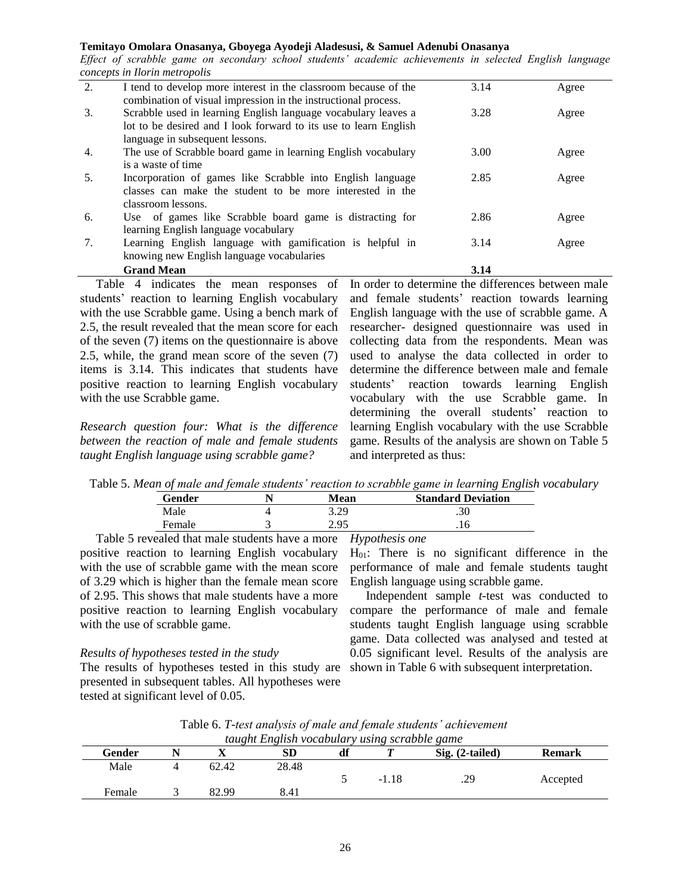*Effect of scrabble game on secondary school students' academic achievements in selected English language concepts in Ilorin metropolis*

| 2.  | I tend to develop more interest in the classroom because of the  | 3.14 | Agree |
|-----|------------------------------------------------------------------|------|-------|
|     | combination of visual impression in the instructional process.   |      |       |
| 3.  | Scrabble used in learning English language vocabulary leaves a   | 3.28 | Agree |
|     | lot to be desired and I look forward to its use to learn English |      |       |
|     | language in subsequent lessons.                                  |      |       |
| 4.  | The use of Scrabble board game in learning English vocabulary    | 3.00 | Agree |
|     | is a waste of time                                               |      |       |
| .5. | Incorporation of games like Scrabble into English language       | 2.85 | Agree |
|     | classes can make the student to be more interested in the        |      |       |
|     | classroom lessons.                                               |      |       |
| 6.  | Use of games like Scrabble board game is distracting for         | 2.86 | Agree |
|     | learning English language vocabulary                             |      |       |
| 7.  | Learning English language with gamification is helpful in        | 3.14 | Agree |
|     | knowing new English language vocabularies                        |      |       |
|     | <b>Grand Mean</b>                                                | 3.14 |       |

Table 4 indicates the mean responses of students' reaction to learning English vocabulary with the use Scrabble game. Using a bench mark of 2.5, the result revealed that the mean score for each of the seven (7) items on the questionnaire is above 2.5, while, the grand mean score of the seven (7) items is 3.14. This indicates that students have positive reaction to learning English vocabulary with the use Scrabble game.

*Research question four: What is the difference between the reaction of male and female students taught English language using scrabble game?*

In order to determine the differences between male and female students' reaction towards learning English language with the use of scrabble game. A researcher- designed questionnaire was used in collecting data from the respondents. Mean was used to analyse the data collected in order to determine the difference between male and female students' reaction towards learning English vocabulary with the use Scrabble game. In determining the overall students' reaction to learning English vocabulary with the use Scrabble game. Results of the analysis are shown on Table 5 and interpreted as thus:

Table 5. *Mean of male and female students' reaction to scrabble game in learning English vocabulary*

| <b>Mean</b> | <b>Standard Deviation</b> |
|-------------|---------------------------|
| 3.29        | .30                       |
| 2.95        |                           |
|             |                           |

Table 5 revealed that male students have a more positive reaction to learning English vocabulary with the use of scrabble game with the mean score of 3.29 which is higher than the female mean score of 2.95. This shows that male students have a more positive reaction to learning English vocabulary with the use of scrabble game.

### *Results of hypotheses tested in the study*

The results of hypotheses tested in this study are presented in subsequent tables. All hypotheses were tested at significant level of 0.05.

 $H<sub>01</sub>$ : There is no significant difference in the performance of male and female students taught English language using scrabble game.

Independent sample *t-*test was conducted to compare the performance of male and female students taught English language using scrabble game. Data collected was analysed and tested at 0.05 significant level. Results of the analysis are shown in Table 6 with subsequent interpretation.

|  |                                               |  |  | Table 6. T-test analysis of male and female students' achievement |
|--|-----------------------------------------------|--|--|-------------------------------------------------------------------|
|  | taught English vocabulary using scrabble game |  |  |                                                                   |

| laught English vocabalary asing scrabble game |  |       |       |  |         |                   |               |  |  |  |
|-----------------------------------------------|--|-------|-------|--|---------|-------------------|---------------|--|--|--|
| Gender                                        |  |       | SD    |  |         | $Sig. (2-tailed)$ | <b>Remark</b> |  |  |  |
| Male                                          |  | 62.42 | 28.48 |  |         |                   |               |  |  |  |
|                                               |  |       |       |  | $-1.18$ | .29               | Accepted      |  |  |  |
| Female                                        |  | 82.99 | 8.41  |  |         |                   |               |  |  |  |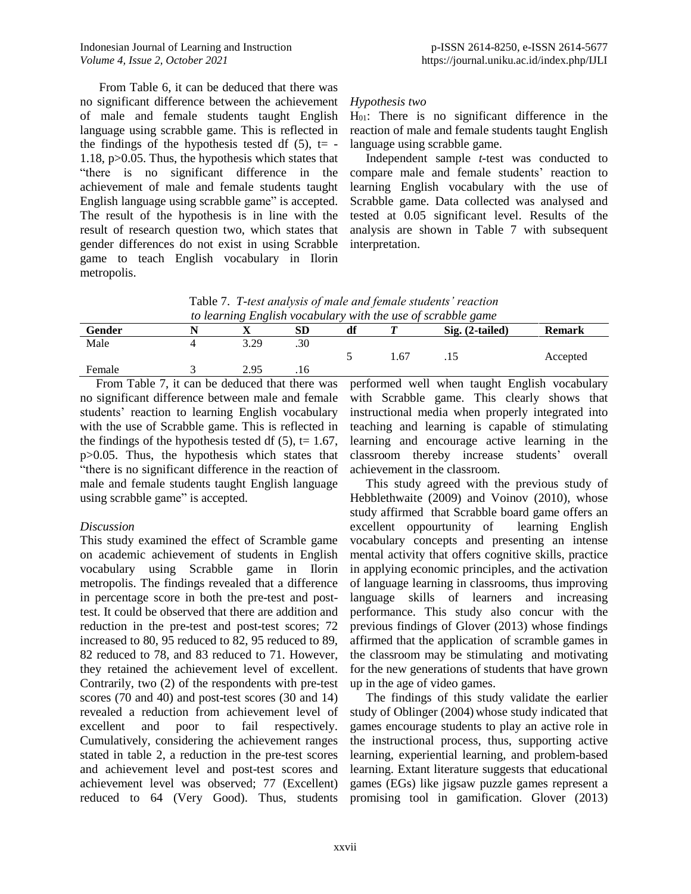From Table 6, it can be deduced that there was no significant difference between the achievement of male and female students taught English language using scrabble game. This is reflected in the findings of the hypothesis tested df  $(5)$ , t= -1.18, p>0.05. Thus, the hypothesis which states that "there is no significant difference in the achievement of male and female students taught English language using scrabble game" is accepted. The result of the hypothesis is in line with the result of research question two, which states that gender differences do not exist in using Scrabble game to teach English vocabulary in Ilorin metropolis.

# *Hypothesis two*

H01: There is no significant difference in the reaction of male and female students taught English language using scrabble game.

Independent sample *t-*test was conducted to compare male and female students' reaction to learning English vocabulary with the use of Scrabble game. Data collected was analysed and tested at 0.05 significant level. Results of the analysis are shown in Table 7 with subsequent interpretation.

|  | Table 7. T-test analysis of male and female students' reaction |  |  |
|--|----------------------------------------------------------------|--|--|
|  | to learning English vocabulary with the use of scrabble game   |  |  |

| ro learning <b>L</b> itgebilt Focubatum for the the tipe of betweene game |  |      |     |    |       |                   |               |
|---------------------------------------------------------------------------|--|------|-----|----|-------|-------------------|---------------|
| Gender                                                                    |  |      |     | df |       | $Sig. (2-tailed)$ | <b>Remark</b> |
| Male                                                                      |  | 3.29 | .30 |    |       |                   |               |
|                                                                           |  |      |     |    | . .67 | .                 | Accepted      |
| Female                                                                    |  | 2.95 |     |    |       |                   |               |

From Table 7, it can be deduced that there was no significant difference between male and female students' reaction to learning English vocabulary with the use of Scrabble game. This is reflected in the findings of the hypothesis tested df  $(5)$ , t= 1.67, p>0.05. Thus, the hypothesis which states that "there is no significant difference in the reaction of male and female students taught English language using scrabble game" is accepted.

### *Discussion*

This study examined the effect of Scramble game on academic achievement of students in English vocabulary using Scrabble game in Ilorin metropolis. The findings revealed that a difference in percentage score in both the pre-test and posttest. It could be observed that there are addition and reduction in the pre-test and post-test scores; 72 increased to 80, 95 reduced to 82, 95 reduced to 89, 82 reduced to 78, and 83 reduced to 71. However, they retained the achievement level of excellent. Contrarily, two (2) of the respondents with pre-test scores (70 and 40) and post-test scores (30 and 14) revealed a reduction from achievement level of excellent and poor to fail respectively. Cumulatively, considering the achievement ranges stated in table 2, a reduction in the pre-test scores and achievement level and post-test scores and achievement level was observed; 77 (Excellent) reduced to 64 (Very Good). Thus, students

performed well when taught English vocabulary with Scrabble game. This clearly shows that instructional media when properly integrated into teaching and learning is capable of stimulating learning and encourage active learning in the classroom thereby increase students' overall achievement in the classroom.

This study agreed with the previous study of Hebblethwaite (2009) and Voinov (2010), whose study affirmed that Scrabble board game offers an excellent oppourtunity of learning English vocabulary concepts and presenting an intense mental activity that offers cognitive skills, practice in applying economic principles, and the activation of language learning in classrooms, thus improving language skills of learners and increasing performance. This study also concur with the previous findings of Glover (2013) whose findings affirmed that the application of scramble games in the classroom may be stimulating and motivating for the new generations of students that have grown up in the age of video games.

The findings of this study validate the earlier study of Oblinger (2004) whose study indicated that games encourage students to play an active role in the instructional process, thus, supporting active learning, experiential learning, and problem-based learning. Extant literature suggests that educational games (EGs) like jigsaw puzzle games represent a promising tool in gamification. Glover (2013)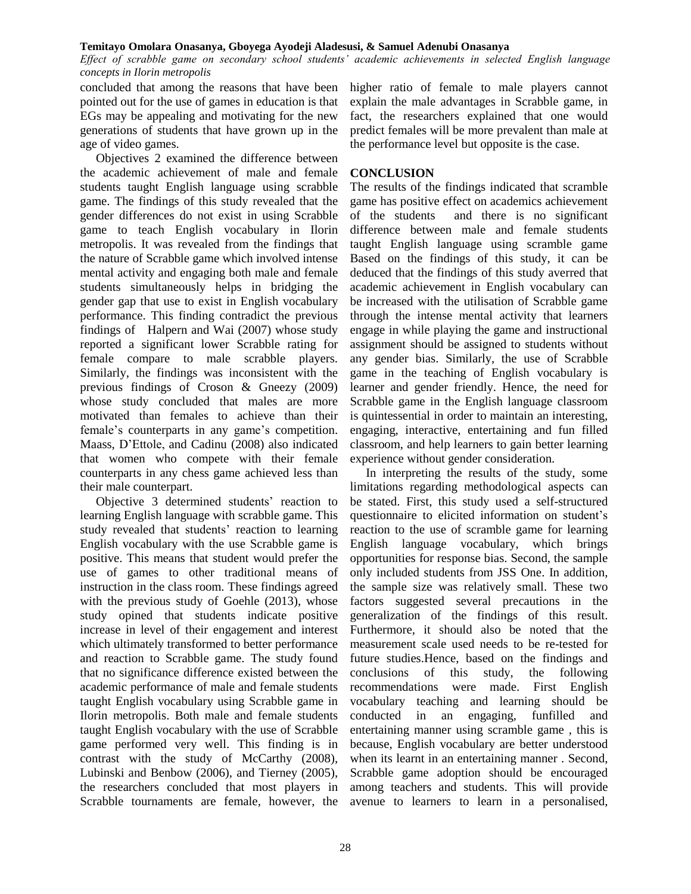*Effect of scrabble game on secondary school students' academic achievements in selected English language concepts in Ilorin metropolis*

concluded that among the reasons that have been pointed out for the use of games in education is that EGs may be appealing and motivating for the new generations of students that have grown up in the age of video games.

Objectives 2 examined the difference between the academic achievement of male and female students taught English language using scrabble game. The findings of this study revealed that the gender differences do not exist in using Scrabble game to teach English vocabulary in Ilorin metropolis. It was revealed from the findings that the nature of Scrabble game which involved intense mental activity and engaging both male and female students simultaneously helps in bridging the gender gap that use to exist in English vocabulary performance. This finding contradict the previous findings of Halpern and Wai (2007) whose study reported a significant lower Scrabble rating for female compare to male scrabble players. Similarly, the findings was inconsistent with the previous findings of Croson & Gneezy (2009) whose study concluded that males are more motivated than females to achieve than their female's counterparts in any game's competition. Maass, D'Ettole, and Cadinu (2008) also indicated that women who compete with their female counterparts in any chess game achieved less than their male counterpart.

Objective 3 determined students' reaction to learning English language with scrabble game. This study revealed that students' reaction to learning English vocabulary with the use Scrabble game is positive. This means that student would prefer the use of games to other traditional means of instruction in the class room. These findings agreed with the previous study of Goehle (2013), whose study opined that students indicate positive increase in level of their engagement and interest which ultimately transformed to better performance and reaction to Scrabble game. The study found that no significance difference existed between the academic performance of male and female students taught English vocabulary using Scrabble game in Ilorin metropolis. Both male and female students taught English vocabulary with the use of Scrabble game performed very well. This finding is in contrast with the study of McCarthy (2008), Lubinski and Benbow (2006), and Tierney (2005), the researchers concluded that most players in Scrabble tournaments are female, however, the

higher ratio of female to male players cannot explain the male advantages in Scrabble game, in fact, the researchers explained that one would predict females will be more prevalent than male at the performance level but opposite is the case.

#### **CONCLUSION**

The results of the findings indicated that scramble game has positive effect on academics achievement of the students and there is no significant difference between male and female students taught English language using scramble game Based on the findings of this study, it can be deduced that the findings of this study averred that academic achievement in English vocabulary can be increased with the utilisation of Scrabble game through the intense mental activity that learners engage in while playing the game and instructional assignment should be assigned to students without any gender bias. Similarly, the use of Scrabble game in the teaching of English vocabulary is learner and gender friendly. Hence, the need for Scrabble game in the English language classroom is quintessential in order to maintain an interesting, engaging, interactive, entertaining and fun filled classroom, and help learners to gain better learning experience without gender consideration.

In interpreting the results of the study, some limitations regarding methodological aspects can be stated. First, this study used a self-structured questionnaire to elicited information on student's reaction to the use of scramble game for learning English language vocabulary, which brings opportunities for response bias. Second, the sample only included students from JSS One. In addition, the sample size was relatively small. These two factors suggested several precautions in the generalization of the findings of this result. Furthermore, it should also be noted that the measurement scale used needs to be re-tested for future studies.Hence, based on the findings and conclusions of this study, the following recommendations were made. First English vocabulary teaching and learning should be conducted in an engaging, funfilled and entertaining manner using scramble game , this is because, English vocabulary are better understood when its learnt in an entertaining manner . Second, Scrabble game adoption should be encouraged among teachers and students. This will provide avenue to learners to learn in a personalised,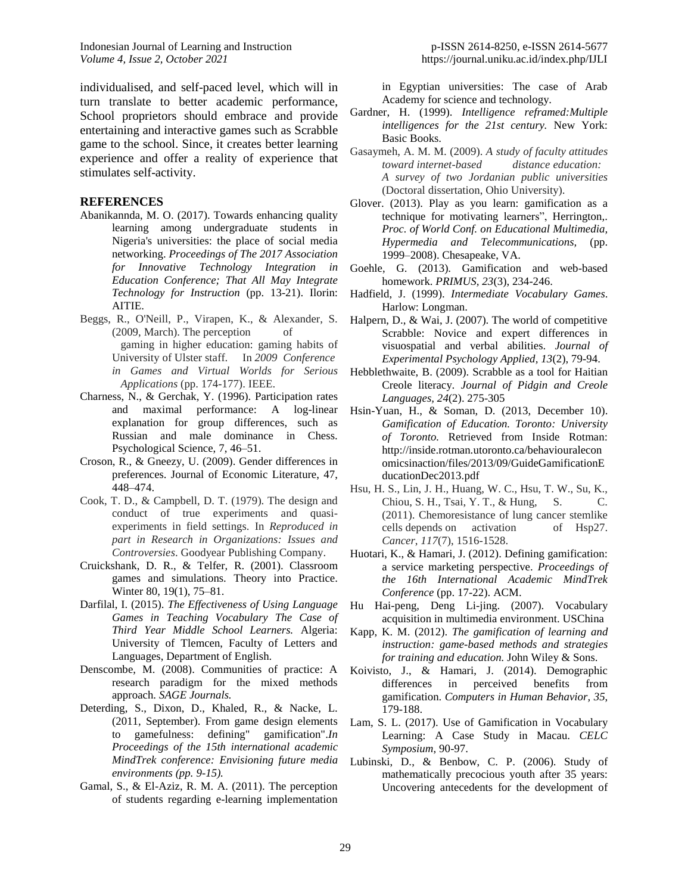Indonesian Journal of Learning and Instruction p-ISSN 2614-8250, e-ISSN 2614-5677 *Volume 4, Issue 2, October 2021* https://journal.uniku.ac.id/index.php/IJLI

individualised, and self-paced level, which will in turn translate to better academic performance, School proprietors should embrace and provide entertaining and interactive games such as Scrabble game to the school. Since, it creates better learning experience and offer a reality of experience that stimulates self-activity.

#### **REFERENCES**

- Abanikannda, M. O. (2017). Towards enhancing quality learning among undergraduate students in Nigeria's universities: the place of social media networking. *Proceedings of The 2017 Association for Innovative Technology Integration in Education Conference; That All May Integrate Technology for Instruction* (pp. 13-21). Ilorin: AITIE.
- Beggs, R., O'Neill, P., Virapen, K., & Alexander, S. (2009, March). The perception of gaming in higher education: gaming habits of University of Ulster staff. In *2009 Conference in Games and Virtual Worlds for Serious Applications* (pp. 174-177). IEEE.
- Charness, N., & Gerchak, Y. (1996). Participation rates and maximal performance: A log-linear explanation for group differences, such as Russian and male dominance in Chess. Psychological Science, 7, 46–51.
- Croson, R., & Gneezy, U. (2009). Gender differences in preferences. Journal of Economic Literature, 47, 448–474.
- Cook, T. D., & Campbell, D. T. (1979). The design and conduct of true experiments and quasiexperiments in field settings. In *Reproduced in part in Research in Organizations: Issues and Controversies*. Goodyear Publishing Company.
- Cruickshank, D. R., & Telfer, R. (2001). Classroom games and simulations. Theory into Practice. Winter 80, 19(1), 75–81.
- Darfilal, I. (2015). *The Effectiveness of Using Language Games in Teaching Vocabulary The Case of Third Year Middle School Learners.* Algeria: University of Tlemcen, Faculty of Letters and Languages, Department of English.
- Denscombe, M. (2008). Communities of practice: A research paradigm for the mixed methods approach. *SAGE Journals.*
- Deterding, S., Dixon, D., Khaled, R., & Nacke, L. (2011, September). From game design elements to gamefulness: defining" gamification".*In Proceedings of the 15th international academic MindTrek conference: Envisioning future media environments (pp. 9-15).*
- Gamal, S., & El-Aziz, R. M. A. (2011). The perception of students regarding e-learning implementation

in Egyptian universities: The case of Arab Academy for science and technology.

- Gardner, H. (1999). *Intelligence reframed:Multiple intelligences for the 21st century.* New York: Basic Books.
- Gasaymeh, A. M. M. (2009). *A study of faculty attitudes toward internet-based distance education: A survey of two Jordanian public universities* (Doctoral dissertation, Ohio University).
- Glover. (2013). Play as you learn: gamification as a technique for motivating learners", Herrington,. *Proc. of World Conf. on Educational Multimedia, Hypermedia and Telecommunications,* (pp. 1999–2008). Chesapeake, VA.
- Goehle, G. (2013). Gamification and web-based homework. *PRIMUS, 23*(3), 234-246.
- Hadfield, J. (1999). *Intermediate Vocabulary Games*. Harlow: Longman.
- Halpern, D., & Wai, J. (2007). The world of competitive Scrabble: Novice and expert differences in visuospatial and verbal abilities. *Journal of Experimental Psychology Applied, 13*(2), 79-94.
- Hebblethwaite, B. (2009). Scrabble as a tool for Haitian Creole literacy. *Journal of Pidgin and Creole Languages, 24*(2). 275-305
- Hsin-Yuan, H., & Soman, D. (2013, December 10). *Gamification of Education. Toronto: University of Toronto.* Retrieved from Inside Rotman: http://inside.rotman.utoronto.ca/behaviouralecon omicsinaction/files/2013/09/GuideGamificationE ducationDec2013.pdf
- Hsu, H. S., Lin, J. H., Huang, W. C., Hsu, T. W., Su, K., Chiou, S. H., Tsai, Y. T., & Hung, S. C. (2011). Chemoresistance of lung cancer stemlike cells depends on activation of Hsp27. *Cancer*, *117*(7), 1516-1528.
- Huotari, K., & Hamari, J. (2012). Defining gamification: a service marketing perspective. *Proceedings of the 16th International Academic MindTrek Conference* (pp. 17-22). ACM.
- Hu Hai-peng, Deng Li-jing. (2007). Vocabulary acquisition in multimedia environment. USChina
- Kapp, K. M. (2012). *The gamification of learning and instruction: game-based methods and strategies for training and education.* John Wiley & Sons.
- Koivisto, J., & Hamari, J. (2014). Demographic differences in perceived benefits from gamification. *Computers in Human Behavior, 35*, 179-188.
- Lam, S. L. (2017). Use of Gamification in Vocabulary Learning: A Case Study in Macau. *CELC Symposium*, 90-97.
- Lubinski, D., & Benbow, C. P. (2006). Study of mathematically precocious youth after 35 years: Uncovering antecedents for the development of